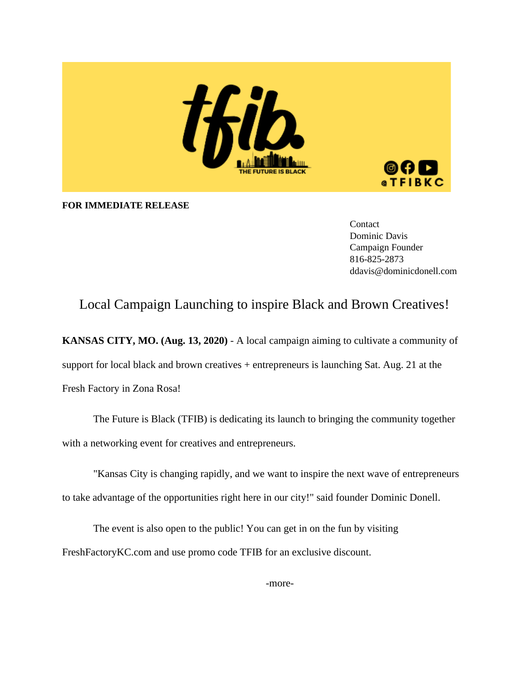

**FOR IMMEDIATE RELEASE**

Contact Dominic Davis Campaign Founder 816-825-2873 ddavis@dominicdonell.com

## Local Campaign Launching to inspire Black and Brown Creatives!

**KANSAS CITY, MO. (Aug. 13, 2020)** - A local campaign aiming to cultivate a community of support for local black and brown creatives + entrepreneurs is launching Sat. Aug. 21 at the Fresh Factory in Zona Rosa!

The Future is Black (TFIB) is dedicating its launch to bringing the community together with a networking event for creatives and entrepreneurs.

"Kansas City is changing rapidly, and we want to inspire the next wave of entrepreneurs to take advantage of the opportunities right here in our city!" said founder Dominic Donell.

The event is also open to the public! You can get in on the fun by visiting FreshFactoryKC.com and use promo code TFIB for an exclusive discount.

-more-